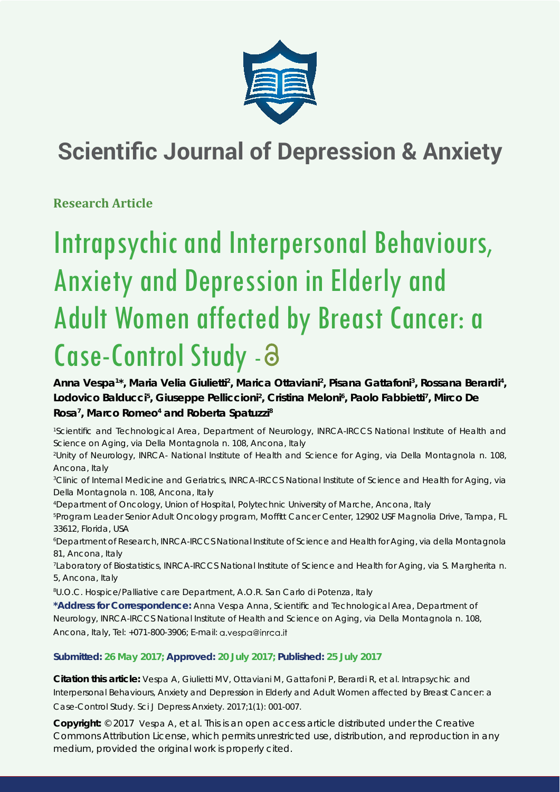

# **Scientific Journal of Depression & Anxiety**

**Research Article**

# Intrapsychic and Interpersonal Behaviours, Anxiety and Depression in Elderly and Adult Women affected by Breast Cancer: a Case-Control Study -

Anna Vespa<sup>1\*</sup>, Maria Velia Giulietti<sup>2</sup>, Marica Ottaviani<sup>2</sup>, Pisana Gattafoni<sup>3</sup>, Rossana Berardi<sup>4</sup>, **Lodovico Balducci5 , Giuseppe Pelliccioni2 , Cristina Meloni6 , Paolo Fabbietti7 , Mirco De**  Rosa<sup>7</sup>, Marco Romeo<sup>4</sup> and Roberta Spatuzzi<sup>8</sup>

<sup>1</sup>Scientific and Technological Area, Department of Neurology, INRCA-IRCCS National Institute of Health and *Science on Aging, via Della Montagnola n. 108, Ancona, Italy*

*2 Unity of Neurology, INRCA- National Institute of Health and Science for Aging, via Della Montagnola n. 108, Ancona, Italy*

*3 Clinic of Internal Medicine and Geriatrics, INRCA-IRCCS National Institute of Science and Health for Aging, via Della Montagnola n. 108, Ancona, Italy*

*4 Department of Oncology, Union of Hospital, Polytechnic University of Marche, Ancona, Italy*

*5 Program Leader Senior Adult Oncology program, Moffi tt Cancer Center, 12902 USF Magnolia Drive, Tampa, FL 33612, Florida, USA*

*6 Department of Research, INRCA-IRCCS National Institute of Science and Health for Aging, via della Montagnola 81, Ancona, Italy*

*7 Laboratory of Biostatistics, INRCA-IRCCS National Institute of Science and Health for Aging, via S. Margherita n. 5, Ancona, Italy*

*8 U.O.C. Hospice/Palliative care Department, A.O.R. San Carlo di Potenza, Italy*

\*Address for Correspondence: Anna Vespa Anna, Scientific and Technological Area, Department of Neurology, INRCA-IRCCS National Institute of Health and Science on Aging, via Della Montagnola n. 108, Ancona, Italy, Tel: +071-800-3906; E-mail: a.vespa@inrca.it

**Submitted: 26 May 2017; Approved: 20 July 2017; Published: 25 July 2017**

**Citation this article:** Vespa A, Giulietti MV, Ottaviani M, Gattafoni P, Berardi R, et al. Intrapsychic and Interpersonal Behaviours, Anxiety and Depression in Elderly and Adult Women affected by Breast Cancer: a Case-Control Study. Sci J Depress Anxiety. 2017;1(1): 001-007.

**Copyright:** © 2017 Vespa A, et al. This is an open access article distributed under the Creative Commons Attribution License, which permits unrestricted use, distribution, and reproduction in any medium, provided the original work is properly cited.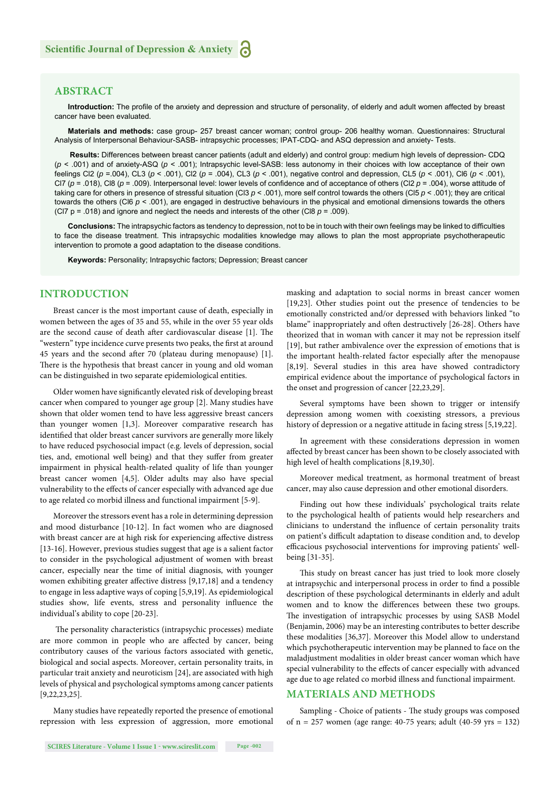# **ABSTRACT**

Introduction: The profile of the anxiety and depression and structure of personality, of elderly and adult women affected by breast cancer have been evaluated.

**Materials and methods:** case group- 257 breast cancer woman; control group- 206 healthy woman. Questionnaires: Structural Analysis of Interpersonal Behaviour-SASB- intrapsychic processes; IPAT-CDQ- and ASQ depression and anxiety- Tests.

 **Results:** Differences between breast cancer patients (adult and elderly) and control group: medium high levels of depression- CDQ (*p* < .001) and of anxiety-ASQ (*p* < .001); Intrapsychic level-SASB: less autonomy in their choices with low acceptance of their own feelings Cl2 (*p* =.004), CL3 (*p* < .001), Cl2 (*p* = .004), CL3 (*p* < .001), negative control and depression, CL5 (*p* < .001), Cl6 (*p* < .001), CI7 ( $p = .018$ ), Cl8 ( $p = .009$ ). Interpersonal level: lower levels of confidence and of acceptance of others (Cl2  $p = .004$ ), worse attitude of taking care for others in presence of stressful situation (Cl3 *p* < .001), more self control towards the others (Cl5 *p* < .001); they are critical towards the others (Cl6 *p* < .001), are engaged in destructive behaviours in the physical and emotional dimensions towards the others (CI7  $p = .018$ ) and ignore and neglect the needs and interests of the other (CI8  $p = .009$ ).

Conclusions: The intrapsychic factors as tendency to depression, not to be in touch with their own feelings may be linked to difficulties to face the disease treatment. This intrapsychic modalities knowledge may allows to plan the most appropriate psychotherapeutic intervention to promote a good adaptation to the disease conditions.

**Keywords:** Personality; Intrapsychic factors; Depression; Breast cancer

# **INTRODUCTION**

Breast cancer is the most important cause of death, especially in women between the ages of 35 and 55, while in the over 55 year olds are the second cause of death after cardiovascular disease [1]. The "western" type incidence curve presents two peaks, the first at around 45 years and the second after 70 (plateau during menopause) [1]. There is the hypothesis that breast cancer in young and old woman can be distinguished in two separate epidemiological entities.

Older women have significantly elevated risk of developing breast cancer when compared to younger age group [2]. Many studies have shown that older women tend to have less aggressive breast cancers than younger women [1,3]. Moreover comparative research has identified that older breast cancer survivors are generally more likely to have reduced psychosocial impact (e.g. levels of depression, social ties, and, emotional well being) and that they suffer from greater impairment in physical health-related quality of life than younger breast cancer women [4,5]. Older adults may also have special vulnerability to the effects of cancer especially with advanced age due to age related co morbid illness and functional impairment [5-9].

Moreover the stressors event has a role in determining depression and mood disturbance [10-12]. In fact women who are diagnosed with breast cancer are at high risk for experiencing affective distress [13-16]. However, previous studies suggest that age is a salient factor to consider in the psychological adjustment of women with breast cancer, especially near the time of initial diagnosis, with younger women exhibiting greater affective distress [9,17,18] and a tendency to engage in less adaptive ways of coping [5,9,19]. As epidemiological studies show, life events, stress and personality influence the individual's ability to cope [20-23].

The personality characteristics (intrapsychic processes) mediate are more common in people who are affected by cancer, being contributory causes of the various factors associated with genetic, biological and social aspects. Moreover, certain personality traits, in particular trait anxiety and neuroticism [24], are associated with high levels of physical and psychological symptoms among cancer patients [9,22,23,25].

Many studies have repeatedly reported the presence of emotional repression with less expression of aggression, more emotional masking and adaptation to social norms in breast cancer women [19,23]. Other studies point out the presence of tendencies to be emotionally constricted and/or depressed with behaviors linked "to blame" inappropriately and often destructively [26-28]. Others have theorized that in woman with cancer it may not be repression itself [19], but rather ambivalence over the expression of emotions that is the important health-related factor especially after the menopause [8,19]. Several studies in this area have showed contradictory empirical evidence about the importance of psychological factors in the onset and progression of cancer [22,23,29].

Several symptoms have been shown to trigger or intensify depression among women with coexisting stressors, a previous history of depression or a negative attitude in facing stress [5,19,22].

In agreement with these considerations depression in women affected by breast cancer has been shown to be closely associated with high level of health complications [8,19,30].

Moreover medical treatment, as hormonal treatment of breast cancer, may also cause depression and other emotional disorders.

Finding out how these individuals' psychological traits relate to the psychological health of patients would help researchers and clinicians to understand the influence of certain personality traits on patient's difficult adaptation to disease condition and, to develop efficacious psychosocial interventions for improving patients' wellbeing [31-35].

This study on breast cancer has just tried to look more closely at intrapsychic and interpersonal process in order to find a possible description of these psychological determinants in elderly and adult women and to know the differences between these two groups. The investigation of intrapsychic processes by using SASB Model (Benjamin, 2006) may be an interesting contributes to better describe these modalities [36,37]. Moreover this Model allow to understand which psychotherapeutic intervention may be planned to face on the maladjustment modalities in older breast cancer woman which have special vulnerability to the effects of cancer especially with advanced age due to age related co morbid illness and functional impairment.

# **MATERIALS AND METHODS**

Sampling - Choice of patients - The study groups was composed of n = 257 women (age range: 40-75 years; adult (40-59 yrs = 132)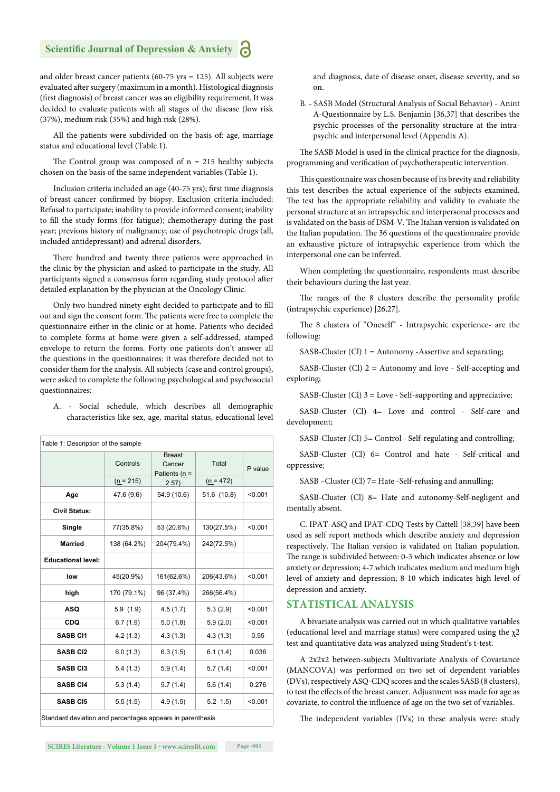and older breast cancer patients (60-75 yrs = 125). All subjects were evaluated after surgery (maximum in a month). Histological diagnosis (first diagnosis) of breast cancer was an eligibility requirement. It was decided to evaluate patients with all stages of the disease (low risk (37%), medium risk (35%) and high risk (28%).

All the patients were subdivided on the basis of: age, marriage status and educational level (Table 1).

The Control group was composed of  $n = 215$  healthy subjects chosen on the basis of the same independent variables (Table 1).

Inclusion criteria included an age (40-75 yrs); first time diagnosis of breast cancer confirmed by biopsy. Exclusion criteria included: Refusal to participate; inability to provide informed consent; inability to fill the study forms (for fatigue); chemotherapy during the past year; previous history of malignancy; use of psychotropic drugs (all, included antidepressant) and adrenal disorders.

There hundred and twenty three patients were approached in the clinic by the physician and asked to participate in the study. All participants signed a consensus form regarding study protocol after detailed explanation by the physician at the Oncology Clinic.

Only two hundred ninety eight decided to participate and to fill out and sign the consent form. The patients were free to complete the questionnaire either in the clinic or at home. Patients who decided to complete forms at home were given a self-addressed, stamped envelope to return the forms. Forty one patients don't answer all the questions in the questionnaires: it was therefore decided not to consider them for the analysis. All subjects (case and control groups), were asked to complete the following psychological and psychosocial questionnaires:

A. - Social schedule, which describes all demographic characteristics like sex, age, marital status, educational level

| Table 1: Description of the sample                        |             |                                          |             |         |
|-----------------------------------------------------------|-------------|------------------------------------------|-------------|---------|
|                                                           | Controls    | <b>Breast</b><br>Cancer<br>Patients (n = | Total       | P value |
|                                                           | $(n = 215)$ | 257)                                     | $(n = 472)$ |         |
| Age                                                       | 47.6 (9.6)  | 54.9 (10.6)                              | 51.6 (10.8) | < 0.001 |
| <b>Civil Status:</b>                                      |             |                                          |             |         |
| Single                                                    | 77(35.8%)   | 53 (20.6%)                               | 130(27.5%)  | < 0.001 |
| <b>Married</b>                                            | 138 (64.2%) | 204(79.4%)                               | 242(72.5%)  |         |
| <b>Educational level:</b>                                 |             |                                          |             |         |
| low                                                       | 45(20.9%)   | 161(62.6%)                               | 206(43.6%)  | < 0.001 |
| high                                                      | 170 (79.1%) | 96 (37.4%)                               | 266(56.4%)  |         |
| <b>ASQ</b>                                                | 5.9(1.9)    | 4.5(1.7)                                 | 5.3(2.9)    | < 0.001 |
| <b>CDQ</b>                                                | 6.7(1.9)    | 5.0(1.8)                                 | 5.9(2.0)    | < 0.001 |
| <b>SASB CI1</b>                                           | 4.2(1.3)    | 4.3(1.3)                                 | 4.3(1.3)    | 0.55    |
| <b>SASB CI2</b>                                           | 6.0(1.3)    | 6.3(1.5)                                 | 6.1(1.4)    | 0.036   |
| <b>SASB CI3</b>                                           | 5.4(1.3)    | 5.9(1.4)                                 | 5.7(1.4)    | < 0.001 |
| <b>SASB CI4</b>                                           | 5.3(1.4)    | 5.7(1.4)                                 | 5.6(1.4)    | 0.276   |
| <b>SASB CI5</b>                                           | 5.5(1.5)    | 4.9(1.5)                                 | $5.2$ 1.5)  | < 0.001 |
| Standard deviation and percentages appears in parenthesis |             |                                          |             |         |

and diagnosis, date of disease onset, disease severity, and so on.

B. - SASB Model (Structural Analysis of Social Behavior) - Anint A-Questionnaire by L.S. Benjamin [36,37] that describes the psychic processes of the personality structure at the intrapsychic and interpersonal level (Appendix A).

The SASB Model is used in the clinical practice for the diagnosis, programming and verification of psychotherapeutic intervention.

This questionnaire was chosen because of its brevity and reliability this test describes the actual experience of the subjects examined. The test has the appropriate reliability and validity to evaluate the personal structure at an intrapsychic and interpersonal processes and is validated on the basis of DSM-V. The Italian version is validated on the Italian population. The 36 questions of the questionnaire provide an exhaustive picture of intrapsychic experience from which the interpersonal one can be inferred.

When completing the questionnaire, respondents must describe their behaviours during the last year.

The ranges of the 8 clusters describe the personality profile (intrapsychic experience) [26,27].

The 8 clusters of "Oneself" - Intrapsychic experience- are the following:

SASB-Cluster (Cl) 1 = Autonomy -Assertive and separating;

SASB-Cluster (Cl)  $2 =$  Autonomy and love - Self-accepting and exploring;

SASB-Cluster (Cl) 3 = Love - Self-supporting and appreciative;

SASB-Cluster (Cl) 4= Love and control - Self-care and development;

SASB-Cluster (Cl) 5= Control - Self-regulating and controlling;

SASB-Cluster (Cl) 6= Control and hate - Self-critical and oppressive;

SASB –Cluster (Cl) 7= Hate -Self-refusing and annulling;

SASB-Cluster (Cl) 8= Hate and autonomy-Self-negligent and mentally absent.

C. IPAT-ASQ and IPAT-CDQ Tests by Cattell [38,39] have been used as self report methods which describe anxiety and depression respectively. The Italian version is validated on Italian population. The range is subdivided between: 0-3 which indicates absence or low anxiety or depression; 4-7 which indicates medium and medium high level of anxiety and depression; 8-10 which indicates high level of depression and anxiety.

## **STATISTICAL ANALYSIS**

A bivariate analysis was carried out in which qualitative variables (educational level and marriage status) were compared using the  $\chi$ 2 test and quantitative data was analyzed using Student's t-test.

A 2x2x2 between-subjects Multivariate Analysis of Covariance (MANCOVA) was performed on two set of dependent variables (DVs), respectively ASQ-CDQ scores and the scales SASB (8 clusters), to test the effects of the breast cancer. Adjustment was made for age as covariate, to control the influence of age on the two set of variables.

The independent variables (IVs) in these analysis were: study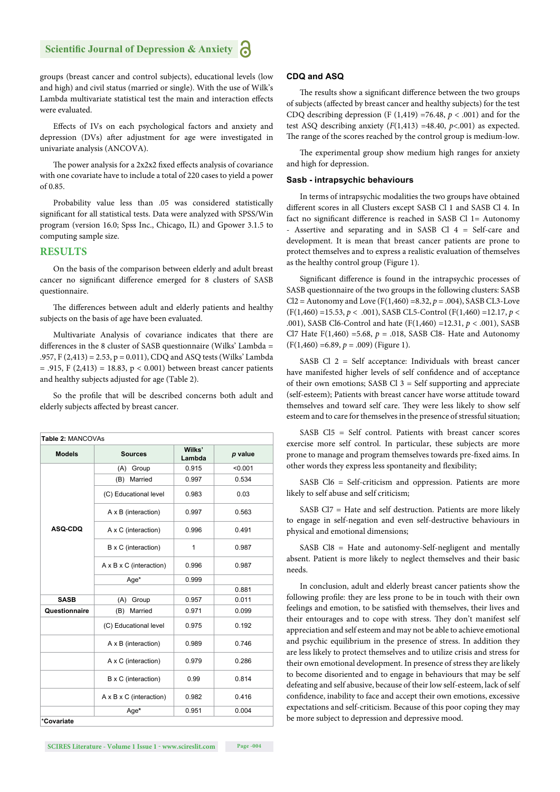groups (breast cancer and control subjects), educational levels (low and high) and civil status (married or single). With the use of Wilk's Lambda multivariate statistical test the main and interaction effects were evaluated.

Effects of IVs on each psychological factors and anxiety and depression (DVs) after adjustment for age were investigated in univariate analysis (ANCOVA).

The power analysis for a 2x2x2 fixed effects analysis of covariance with one covariate have to include a total of 220 cases to yield a power of 0.85.

Probability value less than .05 was considered statistically significant for all statistical tests. Data were analyzed with SPSS/Win program (version 16.0; Spss Inc., Chicago, IL) and Gpower 3.1.5 to computing sample size.

# **RESULTS**

On the basis of the comparison between elderly and adult breast cancer no significant difference emerged for 8 clusters of SASB questionnaire.

The differences between adult and elderly patients and healthy subjects on the basis of age have been evaluated.

Multivariate Analysis of covariance indicates that there are differences in the 8 cluster of SASB questionnaire (Wilks' Lambda = .957, F (2,413) = 2.53, p = 0.011), CDQ and ASQ tests (Wilks' Lambda  $= .915$ , F (2,413) = 18.83, p < 0.001) between breast cancer patients and healthy subjects adjusted for age (Table 2).

So the profile that will be described concerns both adult and elderly subjects affected by breast cancer.

| Table 2: MANCOVAs |                                     |                  |         |
|-------------------|-------------------------------------|------------------|---------|
| <b>Models</b>     | <b>Sources</b>                      | Wilks'<br>Lambda | p value |
|                   | (A)<br>Group                        | 0.915            | < 0.001 |
|                   | Married<br>(B)                      | 0.997            | 0.534   |
|                   | (C) Educational level               | 0.983            | 0.03    |
|                   | A x B (interaction)                 | 0.997            | 0.563   |
| <b>ASQ-CDQ</b>    | A x C (interaction)                 | 0.996            | 0.491   |
|                   | B x C (interaction)                 | 1                | 0.987   |
|                   | $A \times B \times C$ (interaction) | 0.996            | 0.987   |
|                   | Age*                                | 0.999            |         |
|                   |                                     |                  | 0.881   |
| <b>SASB</b>       | Group<br>(A)                        | 0.957            | 0.011   |
| Questionnaire     | Married<br>(B)                      | 0.971            | 0.099   |
|                   | (C) Educational level               | 0.975            | 0.192   |
|                   | A x B (interaction)                 | 0.989            | 0.746   |
|                   | A x C (interaction)                 | 0.979            | 0.286   |
|                   | B x C (interaction)                 | 0.99             | 0.814   |
|                   | $A \times B \times C$ (interaction) | 0.982            | 0.416   |
|                   | Age*                                | 0.951            | 0.004   |

#### **CDQ and ASQ**

The results show a significant difference between the two groups of subjects (affected by breast cancer and healthy subjects) for the test CDQ describing depression (F  $(1,419)$  =76.48,  $p < .001$ ) and for the test ASQ describing anxiety  $(F(1,413) = 48.40, p < .001)$  as expected. The range of the scores reached by the control group is medium-low.

The experimental group show medium high ranges for anxiety and high for depression.

#### **Sasb - intrapsychic behaviours**

In terms of intrapsychic modalities the two groups have obtained different scores in all Clusters except SASB Cl 1 and SASB Cl 4. In fact no significant difference is reached in SASB Cl  $1=$  Autonomy - Assertive and separating and in SASB Cl 4 = Self-care and development. It is mean that breast cancer patients are prone to protect themselves and to express a realistic evaluation of themselves as the healthy control group (Figure 1).

Significant difference is found in the intrapsychic processes of SASB questionnaire of the two groups in the following clusters: SASB Cl2 = Autonomy and Love (F(1,460) =8.32,  $p = .004$ ), SASB CL3-Love (F(1,460) =15.53, *p* < .001), SASB CL5-Control (F(1,460) =12.17, *p* < .001), SASB Cl6-Control and hate (F(1,460) =12.31, *p* < .001), SASB Cl7 Hate  $F(1,460) = 5.68$ ,  $p = .018$ , SASB Cl8- Hate and Autonomy (F(1,460) =6.89, *p* = .009) (Figure 1).

SASB Cl 2 = Self acceptance: Individuals with breast cancer have manifested higher levels of self confidence and of acceptance of their own emotions; SASB Cl  $3 =$  Self supporting and appreciate (self-esteem); Patients with breast cancer have worse attitude toward themselves and toward self care. They were less likely to show self esteem and to care for themselves in the presence of stressful situation;

SASB Cl5 = Self control. Patients with breast cancer scores exercise more self control. In particular, these subjects are more prone to manage and program themselves towards pre-fixed aims. In other words they express less spontaneity and flexibility;

SASB Cl6 = Self-criticism and oppression. Patients are more likely to self abuse and self criticism;

SASB Cl7 = Hate and self destruction. Patients are more likely to engage in self-negation and even self-destructive behaviours in physical and emotional dimensions;

SASB Cl8 = Hate and autonomy-Self-negligent and mentally absent. Patient is more likely to neglect themselves and their basic needs.

In conclusion, adult and elderly breast cancer patients show the following profile: they are less prone to be in touch with their own feelings and emotion, to be satisfied with themselves, their lives and their entourages and to cope with stress. They don't manifest self appreciation and self esteem and may not be able to achieve emotional and psychic equilibrium in the presence of stress. In addition they are less likely to protect themselves and to utilize crisis and stress for their own emotional development. In presence of stress they are likely to become disoriented and to engage in behaviours that may be self defeating and self abusive, because of their low self-esteem, lack of self confidence, inability to face and accept their own emotions, excessive expectations and self-criticism. Because of this poor coping they may be more subject to depression and depressive mood.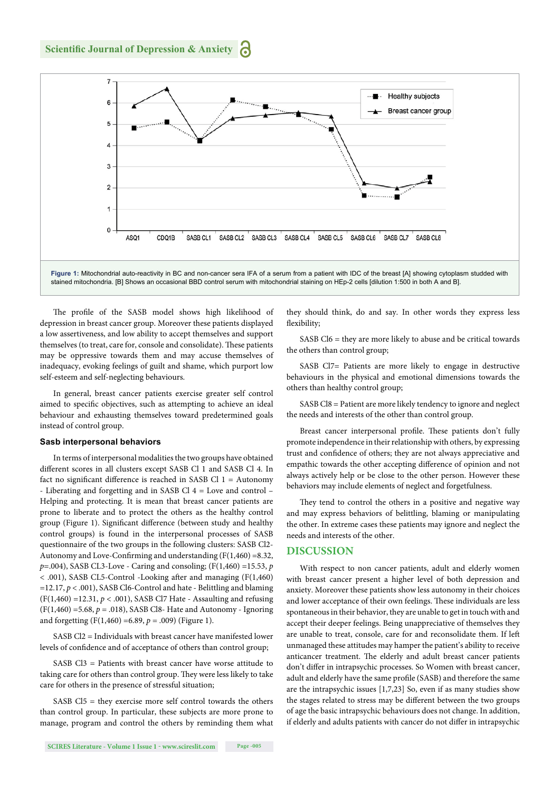

The profile of the SASB model shows high likelihood of depression in breast cancer group. Moreover these patients displayed a low assertiveness, and low ability to accept themselves and support themselves (to treat, care for, console and consolidate). These patients may be oppressive towards them and may accuse themselves of inadequacy, evoking feelings of guilt and shame, which purport low self-esteem and self-neglecting behaviours.

In general, breast cancer patients exercise greater self control aimed to specific objectives, such as attempting to achieve an ideal behaviour and exhausting themselves toward predetermined goals instead of control group.

#### **Sasb interpersonal behaviors**

In terms of interpersonal modalities the two groups have obtained different scores in all clusters except SASB Cl 1 and SASB Cl 4. In fact no significant difference is reached in SASB Cl  $1 =$  Autonomy - Liberating and forgetting and in SASB Cl 4 = Love and control – Helping and protecting. It is mean that breast cancer patients are prone to liberate and to protect the others as the healthy control group (Figure 1). Significant difference (between study and healthy control groups) is found in the interpersonal processes of SASB questionnaire of the two groups in the following clusters: SASB Cl2- Autonomy and Love-Confirming and understanding  $(F(1,460) = 8.32,$ *p*=.004), SASB CL3-Love - Caring and consoling; (F(1,460) =15.53, *p*   $<$  .001), SASB CL5-Control -Looking after and managing (F(1,460)  $=12.17, p < .001$ ), SASB Cl6-Control and hate - Belittling and blaming (F(1,460) =12.31, *p* < .001), SASB Cl7 Hate - Assaulting and refusing (F(1,460) =5.68, *p* = .018), SASB Cl8- Hate and Autonomy - Ignoring and forgetting  $(F(1,460) = 6.89, p = .009)$  (Figure 1).

SASB Cl2 = Individuals with breast cancer have manifested lower levels of confidence and of acceptance of others than control group;

SASB Cl3 = Patients with breast cancer have worse attitude to taking care for others than control group. They were less likely to take care for others in the presence of stressful situation;

SASB Cl5 = they exercise more self control towards the others than control group. In particular, these subjects are more prone to manage, program and control the others by reminding them what

they should think, do and say. In other words they express less flexibility;

SASB Cl6 = they are more likely to abuse and be critical towards the others than control group;

SASB Cl7= Patients are more likely to engage in destructive behaviours in the physical and emotional dimensions towards the others than healthy control group;

SASB Cl8 = Patient are more likely tendency to ignore and neglect the needs and interests of the other than control group.

Breast cancer interpersonal profile. These patients don't fully promote independence in their relationship with others, by expressing trust and confidence of others; they are not always appreciative and empathic towards the other accepting difference of opinion and not always actively help or be close to the other person. However these behaviors may include elements of neglect and forgetfulness.

They tend to control the others in a positive and negative way and may express behaviors of belittling, blaming or manipulating the other. In extreme cases these patients may ignore and neglect the needs and interests of the other.

### **DISCUSSION**

With respect to non cancer patients, adult and elderly women with breast cancer present a higher level of both depression and anxiety. Moreover these patients show less autonomy in their choices and lower acceptance of their own feelings. These individuals are less spontaneous in their behavior, they are unable to get in touch with and accept their deeper feelings. Being unappreciative of themselves they are unable to treat, console, care for and reconsolidate them. If left unmanaged these attitudes may hamper the patient's ability to receive anticancer treatment. The elderly and adult breast cancer patients don't differ in intrapsychic processes. So Women with breast cancer, adult and elderly have the same profile (SASB) and therefore the same are the intrapsychic issues [1,7,23] So, even if as many studies show the stages related to stress may be different between the two groups of age the basic intrapsychic behaviours does not change. In addition, if elderly and adults patients with cancer do not differ in intrapsychic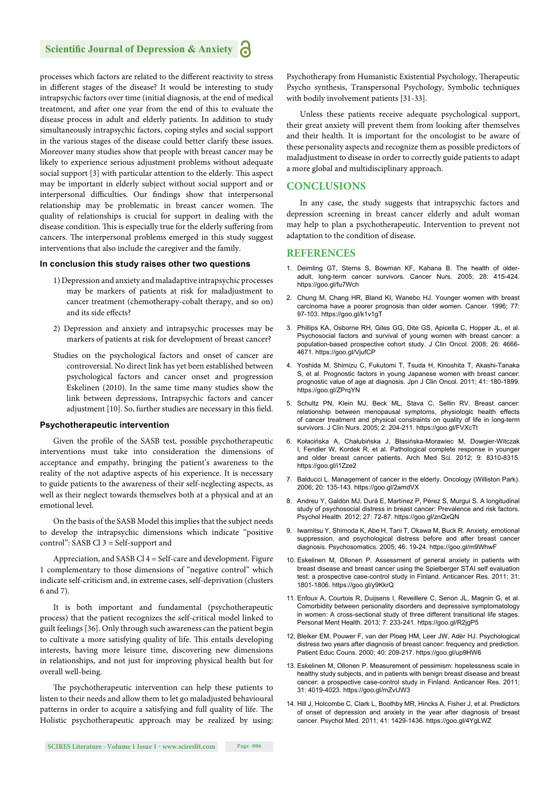processes which factors are related to the different reactivity to stress in different stages of the disease? It would be interesting to study intrapsychic factors over time (initial diagnosis, at the end of medical treatment, and after one year from the end of this to evaluate the disease process in adult and elderly patients. In addition to study simultaneously intrapsychic factors, coping styles and social support in the various stages of the disease could better clarify these issues. Moreover many studies show that people with breast cancer may be likely to experience serious adjustment problems without adequate social support [3] with particular attention to the elderly. This aspect may be important in elderly subject without social support and or interpersonal difficulties. Our findings show that interpersonal relationship may be problematic in breast cancer women. The quality of relationships is crucial for support in dealing with the disease condition. This is especially true for the elderly suffering from cancers. The interpersonal problems emerged in this study suggest interventions that also include the caregiver and the family.

#### **In conclusion this study raises other two questions**

- 1) Depression and anxiety and maladaptive intrapsychic processes may be markers of patients at risk for maladjustment to cancer treatment (chemotherapy-cobalt therapy, and so on) and its side effects?
- 2) Depression and anxiety and intrapsychic processes may be markers of patients at risk for development of breast cancer?
- Studies on the psychological factors and onset of cancer are controversial. No direct link has yet been established between psychological factors and cancer onset and progression Eskelinen (2010). In the same time many studies show the link between depressions, Intrapsychic factors and cancer adjustment [10]. So, further studies are necessary in this field.

#### **Psychotherapeutic intervention**

Given the profile of the SASB test, possible psychotherapeutic interventions must take into consideration the dimensions of acceptance and empathy, bringing the patient's awareness to the reality of the not adaptive aspects of his experience. It is necessary to guide patients to the awareness of their self-neglecting aspects, as well as their neglect towards themselves both at a physical and at an emotional level.

On the basis of the SASB Model this implies that the subject needs to develop the intrapsychic dimensions which indicate "positive control": SASB Cl 3 = Self-support and

Appreciation, and SASB Cl 4 = Self-care and development. Figure 1 complementary to those dimensions of "negative control" which indicate self-criticism and, in extreme cases, self-deprivation (clusters 6 and 7).

It is both important and fundamental (psychotherapeutic process) that the patient recognizes the self-critical model linked to guilt feelings [36]. Only through such awareness can the patient begin to cultivate a more satisfying quality of life. This entails developing interests, having more leisure time, discovering new dimensions in relationships, and not just for improving physical health but for overall well-being.

The psychotherapeutic intervention can help these patients to listen to their needs and allow them to let go maladjusted behavioural patterns in order to acquire a satisfying and full quality of life. The Holistic psychotherapeutic approach may be realized by using: Psychotherapy from Humanistic Existential Psychology, Therapeutic Psycho synthesis, Transpersonal Psychology, Symbolic techniques with bodily involvement patients [31-33].

Unless these patients receive adequate psychological support, their great anxiety will prevent them from looking after themselves and their health. It is important for the oncologist to be aware of these personality aspects and recognize them as possible predictors of maladjustment to disease in order to correctly guide patients to adapt a more global and multidisciplinary approach.

#### **CONCLUSIONS**

In any case, the study suggests that intrapsychic factors and depression screening in breast cancer elderly and adult woman may help to plan a psychotherapeutic. Intervention to prevent not adaptation to the condition of disease.

#### **REFERENCES**

- 1. Deimling GT, Sterns S, Bowman KF, Kahana B. The health of olderadult, long-term cancer survivors. Cancer Nurs. 2005; 28: 415-424. https://goo.gl/fu7Wch
- 2. Chung M, Chang HR, Bland KI, Wanebo HJ. Younger women with breast carcinoma have a poorer prognosis than older women. Cancer. 1996; 77: 97-103. https://goo.gl/k1v1gT
- 3. Phillips KA, Osborne RH, Giles GG, Dite GS, Apicella C, Hopper JL, et al. Psychosocial factors and survival of young women with breast cancer: a population-based prospective cohort study. J Clin Oncol. 2008; 26: 4666- 4671. https://goo.gl/VjufCP
- 4. Yoshida M, Shimizu C, Fukutomi T, Tsuda H, Kinoshita T, Akashi-Tanaka S, et al. Prognostic factors in young Japanese women with breast cancer: prognostic value of age at diagnosis. Jpn J Clin Oncol. 2011; 41: 180-1899. https://goo.gl/ZPrqYN
- 5. Schultz PN, Klein MJ, Beck ML, Stava C, Sellin RV. Breast cancer: relationship between menopausal symptoms, physiologic health effects of cancer treatment and physical constraints on quality of life in long-term survivors. J Clin Nurs. 2005; 2: 204-211. https://goo.gl/FVXcTt
- 6. Kołacińska A, Chałubińska J, Błasińska-Morawiec M, Dowgier-Witczak I, Fendler W, Kordek R, et al. Pathological complete response in younger and older breast cancer patients. Arch Med Sci. 2012; 9: 8310-8315. https://goo.gl/i1Zze2
- 7. Balducci L. Management of cancer in the elderly. Oncology (Williston Park). 2006; 20: 135-143. https://goo.gl/2amdVX
- 8. Andreu Y, Galdòn MJ, Durá E, Martínez P, Pérez S, Murgui S. A longitudinal study of psychosocial distress in breast cancer: Prevalence and risk factors. Psychol Health. 2012; 27: 72-87. https://goo.gl/znQxQN
- 9. Iwamitsu Y, Shimoda K, Abe H, Tani T, Okawa M, Buck R. Anxiety, emotional suppression, and psychological distress before and after breast cancer diagnosis. Psychosomatics. 2005; 46: 19-24. https://goo.gl/m9WhwF
- 10. Eskelinen M, Ollonen P. Assessment of general anxiety in patients with breast disease and breast cancer using the Spielberger STAI self evaluation test: a prospective case-control study in Finland. Anticancer Res. 2011; 31: 1801-1806. https://goo.gl/y9KkrQ
- 11. Enfoux A, Courtois R, Duijsens I, Reveillere C, Senon JL, Magnin G, et al. Comorbidity between personality disorders and depressive symptomatology in women: A cross-sectional study of three different transitional life stages. Personal Ment Health. 2013; 7: 233-241. https://goo.gl/R2jgP5
- 12. Bleiker EM, Pouwer F, van der Ploeg HM, Leer JW, Adèr HJ. Psychological distress two years after diagnosis of breast cancer: frequency and prediction. Patient Educ Couns. 2000; 40: 209-217. https://goo.gl/up9HW6
- 13. Eskelinen M, Ollonen P. Measurement of pessimism: hopelessness scale in healthy study subjects, and in patients with benign breast disease and breast cancer: a prospective case-control study in Finland. Anticancer Res. 2011; 31: 4019-4023. https://goo.gl/mZvUW3
- 14. Hill J, Holcombe C, Clark L, Boothby MR, Hincks A, Fisher J, et al. Predictors of onset of depression and anxiety in the year after diagnosis of breast cancer. Psychol Med. 2011; 41: 1429-1436. https://goo.gl/4YgLWZ